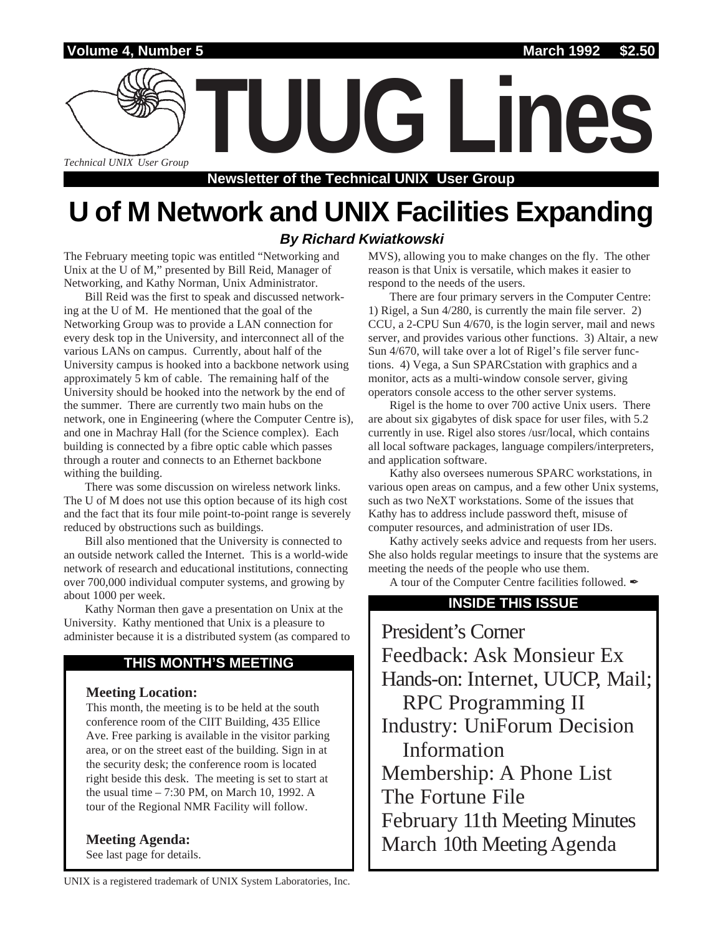

**Newsletter of the Technical UNIX User Group**

# **U of M Network and UNIX Facilities Expanding**

### **By Richard Kwiatkowski**

The February meeting topic was entitled "Networking and Unix at the U of M," presented by Bill Reid, Manager of Networking, and Kathy Norman, Unix Administrator.

Bill Reid was the first to speak and discussed networking at the U of M. He mentioned that the goal of the Networking Group was to provide a LAN connection for every desk top in the University, and interconnect all of the various LANs on campus. Currently, about half of the University campus is hooked into a backbone network using approximately 5 km of cable. The remaining half of the University should be hooked into the network by the end of the summer. There are currently two main hubs on the network, one in Engineering (where the Computer Centre is), and one in Machray Hall (for the Science complex). Each building is connected by a fibre optic cable which passes through a router and connects to an Ethernet backbone withing the building.

There was some discussion on wireless network links. The U of M does not use this option because of its high cost and the fact that its four mile point-to-point range is severely reduced by obstructions such as buildings.

Bill also mentioned that the University is connected to an outside network called the Internet. This is a world-wide network of research and educational institutions, connecting over 700,000 individual computer systems, and growing by about 1000 per week.

Kathy Norman then gave a presentation on Unix at the University. Kathy mentioned that Unix is a pleasure to administer because it is a distributed system (as compared to

#### **THIS MONTH'S MEETING**

#### **Meeting Location:**

This month, the meeting is to be held at the south conference room of the CIIT Building, 435 Ellice Ave. Free parking is available in the visitor parking area, or on the street east of the building. Sign in at the security desk; the conference room is located right beside this desk. The meeting is set to start at the usual time – 7:30 PM, on March 10, 1992. A tour of the Regional NMR Facility will follow.

**Meeting Agenda:**

See last page for details.

MVS), allowing you to make changes on the fly. The other reason is that Unix is versatile, which makes it easier to respond to the needs of the users.

There are four primary servers in the Computer Centre: 1) Rigel, a Sun 4/280, is currently the main file server. 2) CCU, a 2-CPU Sun 4/670, is the login server, mail and news server, and provides various other functions. 3) Altair, a new Sun 4/670, will take over a lot of Rigel's file server functions. 4) Vega, a Sun SPARCstation with graphics and a monitor, acts as a multi-window console server, giving operators console access to the other server systems.

Rigel is the home to over 700 active Unix users. There are about six gigabytes of disk space for user files, with 5.2 currently in use. Rigel also stores /usr/local, which contains all local software packages, language compilers/interpreters, and application software.

Kathy also oversees numerous SPARC workstations, in various open areas on campus, and a few other Unix systems, such as two NeXT workstations. Some of the issues that Kathy has to address include password theft, misuse of computer resources, and administration of user IDs.

Kathy actively seeks advice and requests from her users. She also holds regular meetings to insure that the systems are meeting the needs of the people who use them.

A tour of the Computer Centre facilities followed.  $\mathscr{I}$ 

#### **INSIDE THIS ISSUE**

President's Corner Feedback: Ask Monsieur Ex Hands-on: Internet, UUCP, Mail; RPC Programming II Industry: UniForum Decision Information Membership: A Phone List The Fortune File February 11th Meeting Minutes March 10th Meeting Agenda

UNIX is a registered trademark of UNIX System Laboratories, Inc.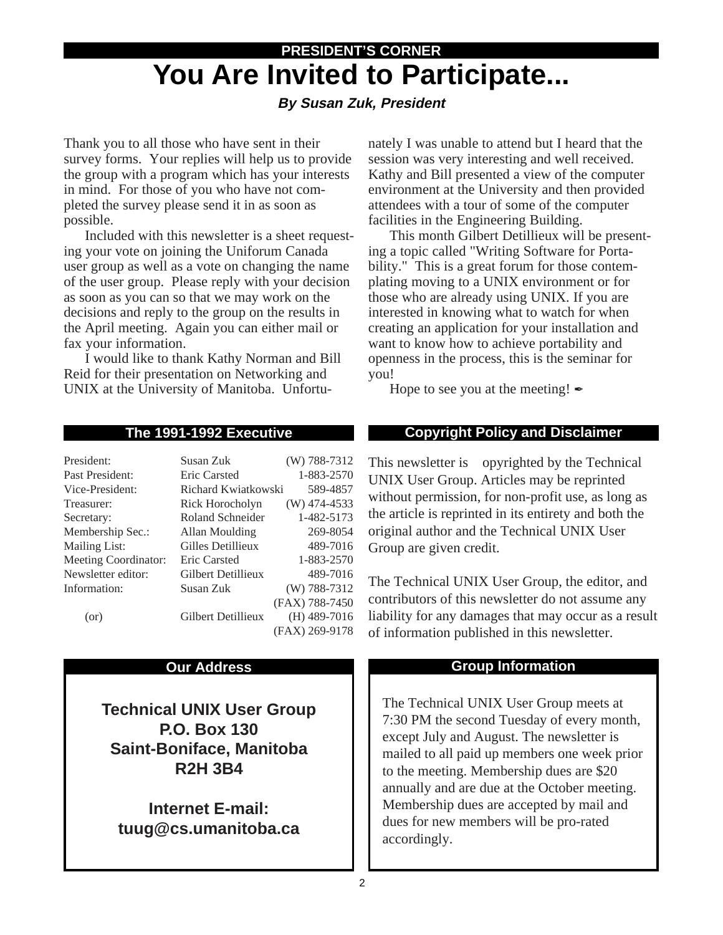# **PRESIDENT'S CORNER You Are Invited to Participate...**

### **By Susan Zuk, President**

Thank you to all those who have sent in their survey forms. Your replies will help us to provide the group with a program which has your interests in mind. For those of you who have not completed the survey please send it in as soon as possible.

Included with this newsletter is a sheet requesting your vote on joining the Uniforum Canada user group as well as a vote on changing the name of the user group. Please reply with your decision as soon as you can so that we may work on the decisions and reply to the group on the results in the April meeting. Again you can either mail or fax your information.

I would like to thank Kathy Norman and Bill Reid for their presentation on Networking and UNIX at the University of Manitoba. Unfortunately I was unable to attend but I heard that the session was very interesting and well received. Kathy and Bill presented a view of the computer environment at the University and then provided attendees with a tour of some of the computer facilities in the Engineering Building.

This month Gilbert Detillieux will be presenting a topic called "Writing Software for Portability." This is a great forum for those contemplating moving to a UNIX environment or for those who are already using UNIX. If you are interested in knowing what to watch for when creating an application for your installation and want to know how to achieve portability and openness in the process, this is the seminar for you!

Hope to see you at the meeting!  $\blacktriangleright$ 

| President:           | Susan Zuk           | (W) 788-7312   |
|----------------------|---------------------|----------------|
| Past President:      | Eric Carsted        | 1-883-2570     |
| Vice-President:      | Richard Kwiatkowski | 589-4857       |
| Treasurer:           | Rick Horocholyn     | $(W)$ 474-4533 |
| Secretary:           | Roland Schneider    | 1-482-5173     |
| Membership Sec.:     | Allan Moulding      | 269-8054       |
| <b>Mailing List:</b> | Gilles Detillieux   | 489-7016       |
| Meeting Coordinator: | Eric Carsted        | 1-883-2570     |
| Newsletter editor:   | Gilbert Detillieux  | 489-7016       |
| Information:         | Susan Zuk           | $(W)$ 788-7312 |
|                      |                     | (FAX) 788-7450 |
| (or)                 | Gilbert Detillieux  | $(H)$ 489-7016 |
|                      |                     | (FAX) 269-9178 |

#### **Our Address**

**Technical UNIX User Group P.O. Box 130 Saint-Boniface, Manitoba R2H 3B4**

**Internet E-mail: tuug@cs.umanitoba.ca**

#### **The 1991-1992 Executive Copyright Policy and Disclaimer**

This newsletter is Copyrighted by the Technical UNIX User Group. Articles may be reprinted without permission, for non-profit use, as long as the article is reprinted in its entirety and both the original author and the Technical UNIX User Group are given credit.

The Technical UNIX User Group, the editor, and contributors of this newsletter do not assume any liability for any damages that may occur as a result of information published in this newsletter.

#### **Group Information**

The Technical UNIX User Group meets at 7:30 PM the second Tuesday of every month, except July and August. The newsletter is mailed to all paid up members one week prior to the meeting. Membership dues are \$20 annually and are due at the October meeting. Membership dues are accepted by mail and dues for new members will be pro-rated accordingly.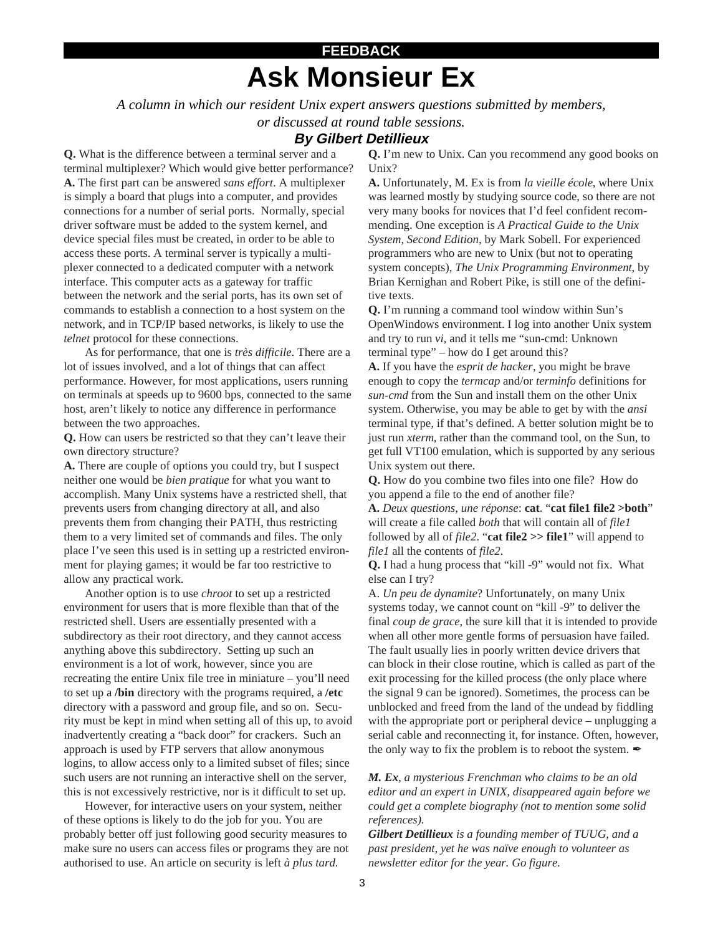# **Ask Monsieur Ex FEEDBACK**

*A column in which our resident Unix expert answers questions submitted by members,*

*or discussed at round table sessions.*

#### **By Gilbert Detillieux**

**Q.** What is the difference between a terminal server and a terminal multiplexer? Which would give better performance? **A.** The first part can be answered *sans effort*. A multiplexer is simply a board that plugs into a computer, and provides connections for a number of serial ports. Normally, special driver software must be added to the system kernel, and device special files must be created, in order to be able to access these ports. A terminal server is typically a multiplexer connected to a dedicated computer with a network interface. This computer acts as a gateway for traffic between the network and the serial ports, has its own set of commands to establish a connection to a host system on the network, and in TCP/IP based networks, is likely to use the *telnet* protocol for these connections.

As for performance, that one is *très difficile*. There are a lot of issues involved, and a lot of things that can affect performance. However, for most applications, users running on terminals at speeds up to 9600 bps, connected to the same host, aren't likely to notice any difference in performance between the two approaches.

**Q.** How can users be restricted so that they can't leave their own directory structure?

**A.** There are couple of options you could try, but I suspect neither one would be *bien pratique* for what you want to accomplish. Many Unix systems have a restricted shell, that prevents users from changing directory at all, and also prevents them from changing their PATH, thus restricting them to a very limited set of commands and files. The only place I've seen this used is in setting up a restricted environment for playing games; it would be far too restrictive to allow any practical work.

Another option is to use *chroot* to set up a restricted environment for users that is more flexible than that of the restricted shell. Users are essentially presented with a subdirectory as their root directory, and they cannot access anything above this subdirectory. Setting up such an environment is a lot of work, however, since you are recreating the entire Unix file tree in miniature – you'll need to set up a **/bin** directory with the programs required, a **/etc** directory with a password and group file, and so on. Security must be kept in mind when setting all of this up, to avoid inadvertently creating a "back door" for crackers. Such an approach is used by FTP servers that allow anonymous logins, to allow access only to a limited subset of files; since such users are not running an interactive shell on the server, this is not excessively restrictive, nor is it difficult to set up.

However, for interactive users on your system, neither of these options is likely to do the job for you. You are probably better off just following good security measures to make sure no users can access files or programs they are not authorised to use. An article on security is left *à plus tard*.

**Q.** I'm new to Unix. Can you recommend any good books on Unix?

**A.** Unfortunately, M. Ex is from *la vieille école*, where Unix was learned mostly by studying source code, so there are not very many books for novices that I'd feel confident recommending. One exception is *A Practical Guide to the Unix System, Second Edition*, by Mark Sobell. For experienced programmers who are new to Unix (but not to operating system concepts), *The Unix Programming Environment*, by Brian Kernighan and Robert Pike, is still one of the definitive texts.

**Q.** I'm running a command tool window within Sun's OpenWindows environment. I log into another Unix system and try to run *vi*, and it tells me "sun-cmd: Unknown terminal type" – how do I get around this?

**A.** If you have the *esprit de hacker*, you might be brave enough to copy the *termcap* and/or *terminfo* definitions for *sun-cmd* from the Sun and install them on the other Unix system. Otherwise, you may be able to get by with the *ansi* terminal type, if that's defined. A better solution might be to just run *xterm*, rather than the command tool, on the Sun, to get full VT100 emulation, which is supported by any serious Unix system out there.

**Q.** How do you combine two files into one file? How do you append a file to the end of another file?

**A.** *Deux questions, une réponse*: **cat**. "**cat file1 file2 >both**" will create a file called *both* that will contain all of *file1* followed by all of *file2*. "**cat file2 >> file1**" will append to *file1* all the contents of *file2*.

**Q.** I had a hung process that "kill -9" would not fix. What else can I try?

A. *Un peu de dynamite*? Unfortunately, on many Unix systems today, we cannot count on "kill -9" to deliver the final *coup de grace*, the sure kill that it is intended to provide when all other more gentle forms of persuasion have failed. The fault usually lies in poorly written device drivers that can block in their close routine, which is called as part of the exit processing for the killed process (the only place where the signal 9 can be ignored). Sometimes, the process can be unblocked and freed from the land of the undead by fiddling with the appropriate port or peripheral device – unplugging a serial cable and reconnecting it, for instance. Often, however, the only way to fix the problem is to reboot the system.  $\mathcal I$ 

*M. Ex, a mysterious Frenchman who claims to be an old editor and an expert in UNIX, disappeared again before we could get a complete biography (not to mention some solid references).*

*Gilbert Detillieux is a founding member of TUUG, and a past president, yet he was naïve enough to volunteer as newsletter editor for the year. Go figure.*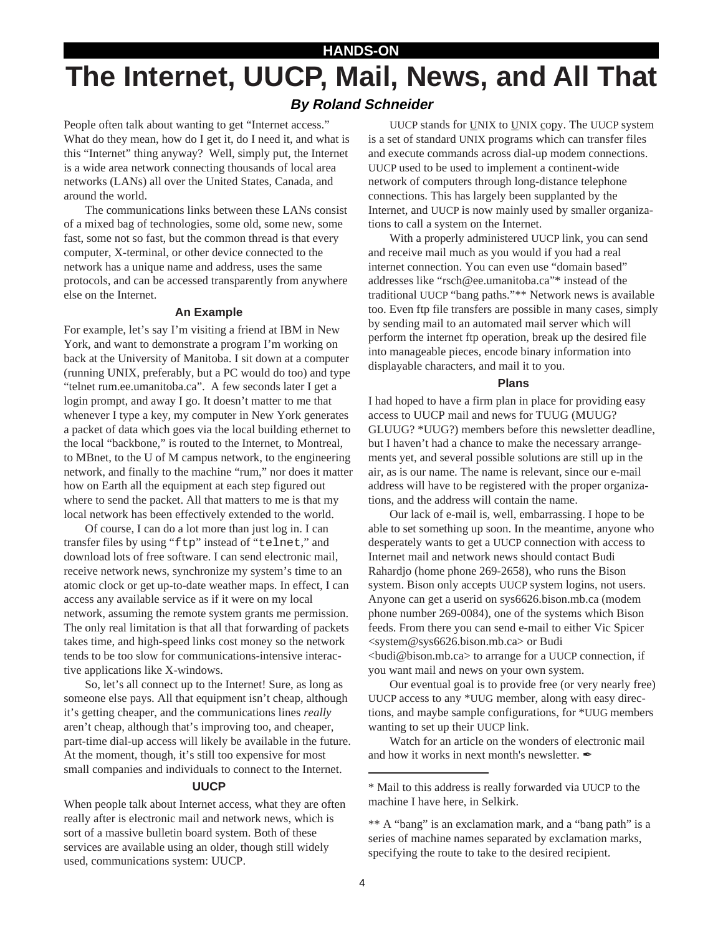# **HANDS-ON The Internet, UUCP, Mail, News, and All That**

#### **By Roland Schneider**

People often talk about wanting to get "Internet access." What do they mean, how do I get it, do I need it, and what is this "Internet" thing anyway? Well, simply put, the Internet is a wide area network connecting thousands of local area networks (LANs) all over the United States, Canada, and around the world.

The communications links between these LANs consist of a mixed bag of technologies, some old, some new, some fast, some not so fast, but the common thread is that every computer, X-terminal, or other device connected to the network has a unique name and address, uses the same protocols, and can be accessed transparently from anywhere else on the Internet.

#### **An Example**

For example, let's say I'm visiting a friend at IBM in New York, and want to demonstrate a program I'm working on back at the University of Manitoba. I sit down at a computer (running UNIX, preferably, but a PC would do too) and type "telnet rum.ee.umanitoba.ca". A few seconds later I get a login prompt, and away I go. It doesn't matter to me that whenever I type a key, my computer in New York generates a packet of data which goes via the local building ethernet to the local "backbone," is routed to the Internet, to Montreal, to MBnet, to the U of M campus network, to the engineering network, and finally to the machine "rum," nor does it matter how on Earth all the equipment at each step figured out where to send the packet. All that matters to me is that my local network has been effectively extended to the world.

Of course, I can do a lot more than just log in. I can transfer files by using "ftp" instead of "telnet," and download lots of free software. I can send electronic mail, receive network news, synchronize my system's time to an atomic clock or get up-to-date weather maps. In effect, I can access any available service as if it were on my local network, assuming the remote system grants me permission. The only real limitation is that all that forwarding of packets takes time, and high-speed links cost money so the network tends to be too slow for communications-intensive interactive applications like X-windows.

So, let's all connect up to the Internet! Sure, as long as someone else pays. All that equipment isn't cheap, although it's getting cheaper, and the communications lines *really* aren't cheap, although that's improving too, and cheaper, part-time dial-up access will likely be available in the future. At the moment, though, it's still too expensive for most small companies and individuals to connect to the Internet.

#### **UUCP**

When people talk about Internet access, what they are often really after is electronic mail and network news, which is sort of a massive bulletin board system. Both of these services are available using an older, though still widely used, communications system: UUCP.

UUCP stands for UNIX to UNIX copy. The UUCP system is a set of standard UNIX programs which can transfer files and execute commands across dial-up modem connections. UUCP used to be used to implement a continent-wide network of computers through long-distance telephone connections. This has largely been supplanted by the Internet, and UUCP is now mainly used by smaller organizations to call a system on the Internet.

With a properly administered UUCP link, you can send and receive mail much as you would if you had a real internet connection. You can even use "domain based" addresses like "rsch@ee.umanitoba.ca"\* instead of the traditional UUCP "bang paths."\*\* Network news is available too. Even ftp file transfers are possible in many cases, simply by sending mail to an automated mail server which will perform the internet ftp operation, break up the desired file into manageable pieces, encode binary information into displayable characters, and mail it to you.

#### **Plans**

I had hoped to have a firm plan in place for providing easy access to UUCP mail and news for TUUG (MUUG? GLUUG? \*UUG?) members before this newsletter deadline, but I haven't had a chance to make the necessary arrangements yet, and several possible solutions are still up in the air, as is our name. The name is relevant, since our e-mail address will have to be registered with the proper organizations, and the address will contain the name.

Our lack of e-mail is, well, embarrassing. I hope to be able to set something up soon. In the meantime, anyone who desperately wants to get a UUCP connection with access to Internet mail and network news should contact Budi Rahardjo (home phone 269-2658), who runs the Bison system. Bison only accepts UUCP system logins, not users. Anyone can get a userid on sys6626.bison.mb.ca (modem phone number 269-0084), one of the systems which Bison feeds. From there you can send e-mail to either Vic Spicer <system@sys6626.bison.mb.ca> or Budi <budi@bison.mb.ca> to arrange for a UUCP connection, if you want mail and news on your own system.

Our eventual goal is to provide free (or very nearly free) UUCP access to any \*UUG member, along with easy directions, and maybe sample configurations, for \*UUG members wanting to set up their UUCP link.

Watch for an article on the wonders of electronic mail and how it works in next month's newsletter.  $\mathscr{L}$ 

<sup>\*</sup> Mail to this address is really forwarded via UUCP to the machine I have here, in Selkirk.

<sup>\*\*</sup> A "bang" is an exclamation mark, and a "bang path" is a series of machine names separated by exclamation marks, specifying the route to take to the desired recipient.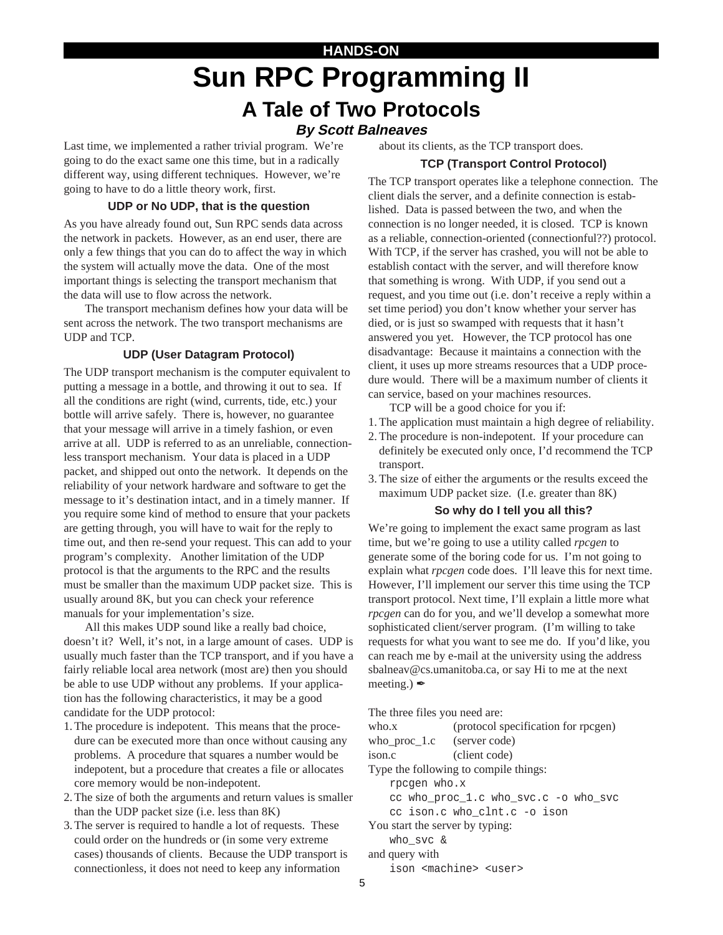# **HANDS-ON Sun RPC Programming II A Tale of Two Protocols**

#### **By Scott Balneaves**

Last time, we implemented a rather trivial program. We're going to do the exact same one this time, but in a radically different way, using different techniques. However, we're going to have to do a little theory work, first.

#### **UDP or No UDP, that is the question**

As you have already found out, Sun RPC sends data across the network in packets. However, as an end user, there are only a few things that you can do to affect the way in which the system will actually move the data. One of the most important things is selecting the transport mechanism that the data will use to flow across the network.

The transport mechanism defines how your data will be sent across the network. The two transport mechanisms are UDP and TCP.

#### **UDP (User Datagram Protocol)**

The UDP transport mechanism is the computer equivalent to putting a message in a bottle, and throwing it out to sea. If all the conditions are right (wind, currents, tide, etc.) your bottle will arrive safely. There is, however, no guarantee that your message will arrive in a timely fashion, or even arrive at all. UDP is referred to as an unreliable, connectionless transport mechanism. Your data is placed in a UDP packet, and shipped out onto the network. It depends on the reliability of your network hardware and software to get the message to it's destination intact, and in a timely manner. If you require some kind of method to ensure that your packets are getting through, you will have to wait for the reply to time out, and then re-send your request. This can add to your program's complexity. Another limitation of the UDP protocol is that the arguments to the RPC and the results must be smaller than the maximum UDP packet size. This is usually around 8K, but you can check your reference manuals for your implementation's size.

All this makes UDP sound like a really bad choice, doesn't it? Well, it's not, in a large amount of cases. UDP is usually much faster than the TCP transport, and if you have a fairly reliable local area network (most are) then you should be able to use UDP without any problems. If your application has the following characteristics, it may be a good candidate for the UDP protocol:

- 1. The procedure is indepotent. This means that the procedure can be executed more than once without causing any problems. A procedure that squares a number would be indepotent, but a procedure that creates a file or allocates core memory would be non-indepotent.
- 2. The size of both the arguments and return values is smaller than the UDP packet size (i.e. less than 8K)
- 3. The server is required to handle a lot of requests. These could order on the hundreds or (in some very extreme cases) thousands of clients. Because the UDP transport is connectionless, it does not need to keep any information

about its clients, as the TCP transport does.

#### **TCP (Transport Control Protocol)**

The TCP transport operates like a telephone connection. The client dials the server, and a definite connection is established. Data is passed between the two, and when the connection is no longer needed, it is closed. TCP is known as a reliable, connection-oriented (connectionful??) protocol. With TCP, if the server has crashed, you will not be able to establish contact with the server, and will therefore know that something is wrong. With UDP, if you send out a request, and you time out (i.e. don't receive a reply within a set time period) you don't know whether your server has died, or is just so swamped with requests that it hasn't answered you yet. However, the TCP protocol has one disadvantage: Because it maintains a connection with the client, it uses up more streams resources that a UDP procedure would. There will be a maximum number of clients it can service, based on your machines resources.

TCP will be a good choice for you if:

- 1. The application must maintain a high degree of reliability.
- 2. The procedure is non-indepotent. If your procedure can definitely be executed only once, I'd recommend the TCP transport.
- 3. The size of either the arguments or the results exceed the maximum UDP packet size. (I.e. greater than 8K)

#### **So why do I tell you all this?**

We're going to implement the exact same program as last time, but we're going to use a utility called *rpcgen* to generate some of the boring code for us. I'm not going to explain what *rpcgen* code does. I'll leave this for next time. However, I'll implement our server this time using the TCP transport protocol. Next time, I'll explain a little more what *rpcgen* can do for you, and we'll develop a somewhat more sophisticated client/server program. (I'm willing to take requests for what you want to see me do. If you'd like, you can reach me by e-mail at the university using the address sbalneav@cs.umanitoba.ca, or say Hi to me at the next meeting.)  $\mathscr{L}$ 

The three files you need are:

| who.x                                 | (protocol specification for rpcgen)    |  |
|---------------------------------------|----------------------------------------|--|
| who_proc_1.c (server code)            |                                        |  |
| $i$ son.c                             | (client code)                          |  |
| Type the following to compile things: |                                        |  |
| rpcgen who.x                          |                                        |  |
|                                       | cc who proc 1.c who svc.c -o who svc   |  |
| cc ison.c who clnt.c -o ison          |                                        |  |
| You start the server by typing:       |                                        |  |
| who svc &                             |                                        |  |
| and query with                        |                                        |  |
|                                       | ison <machine> <user></user></machine> |  |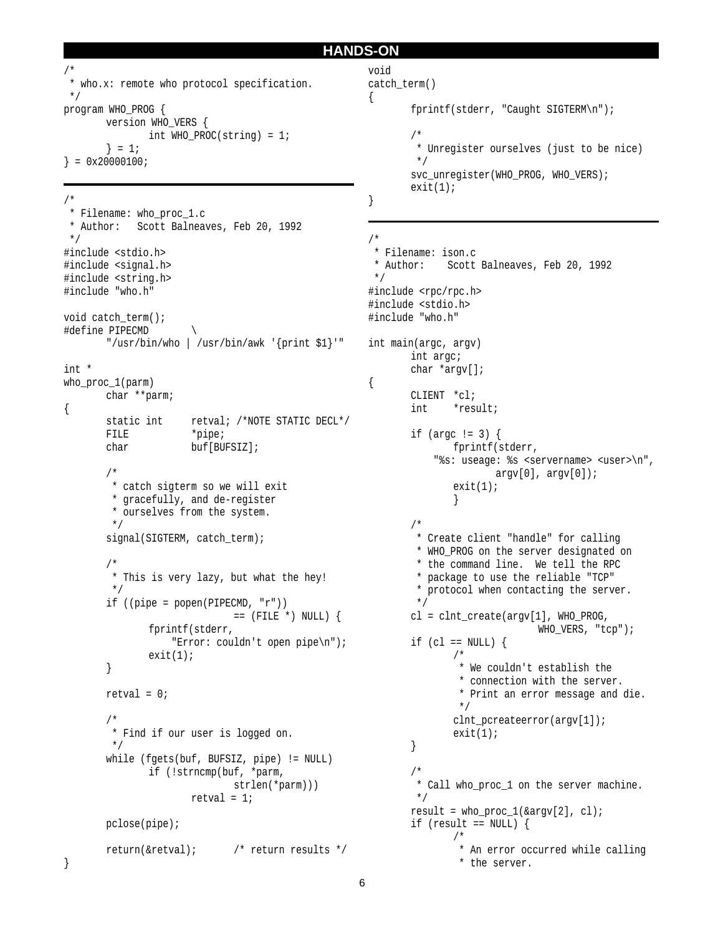```
HANDS-ON
```

```
/*
  * who.x: remote who protocol specification.
 */
program WHO_PROG {
      version WHO_VERS {
             int WHO_PROC(string) = 1;
       } = 1;} = 0x20000100;
```

```
/*
 * Filename: who_proc_1.c
 * Author: Scott Balneaves, Feb 20, 1992
 */
#include <stdio.h>
#include <signal.h>
#include <string.h>
#include "who.h"
void catch_term();
#define PIPECMD \
       "/usr/bin/who | /usr/bin/awk '{print $1}'"
int *
who_proc_1(parm)
       char **parm;
{
       static int retval; /*NOTE STATIC DECL*/
       FILE *pipe;
       char buf[BUFSIZ];
       /*
         * catch sigterm so we will exit
         * gracefully, and de-register
         * ourselves from the system.
         */
       signal(SIGTERM, catch_term);
       /*
         * This is very lazy, but what the hey!
         */
       if ((pipe = popen(PIPECMD, "r"))
                             == (FILE *) NULL) {
              fprintf(stderr,
                   "Error: couldn't open pipe\n");
              exit(1);}
       retval = 0;
       /*
         * Find if our user is logged on.
         */
       while (fgets(buf, BUFSIZ, pipe) != NULL)
              if (!strncmp(buf, *parm,
                            strlen(*parm)))
                     retval = 1;
       pclose(pipe);
       return(&retval); /* return results */
```

```
void
catch_term()
{
        fprintf(stderr, "Caught SIGTERM\n");
        /*
          * Unregister ourselves (just to be nice)
          */
        svc_unregister(WHO_PROG, WHO_VERS);
        exit(1);}
/*
  * Filename: ison.c
  * Author: Scott Balneaves, Feb 20, 1992
  */
#include <rpc/rpc.h>
#include <stdio.h>
#include "who.h"
int main(argc, argv)
       int argc;
       char *argv[];
{
       CLIENT *cl;
        int *result;
        if (argc != 3) {
              fprintf(stderr,
             "%s: useage: %s <servername> <user>\n",
                      argv[0], argv[0]);exit(1);}
        /*
         * Create client "handle" for calling
         * WHO_PROG on the server designated on
          * the command line. We tell the RPC
         * package to use the reliable "TCP"
          * protocol when contacting the server.
          */
       cl = clnt_create(argv[1], WHO_PROG,
                               WHO VERS, "tcp");
       if (cl == NULL) {
               /*
                 * We couldn't establish the
                 * connection with the server.
                 * Print an error message and die.
                 */
               clnt_pcreateerror(argv[1]);
               exit(1);}
        /*
         * Call who_proc_1 on the server machine.
         */
       result = who_proc_1(\text{&ary}[2], cl);
        if (result == NULL) {
               /*
```
\* An error occurred while calling

\* the server.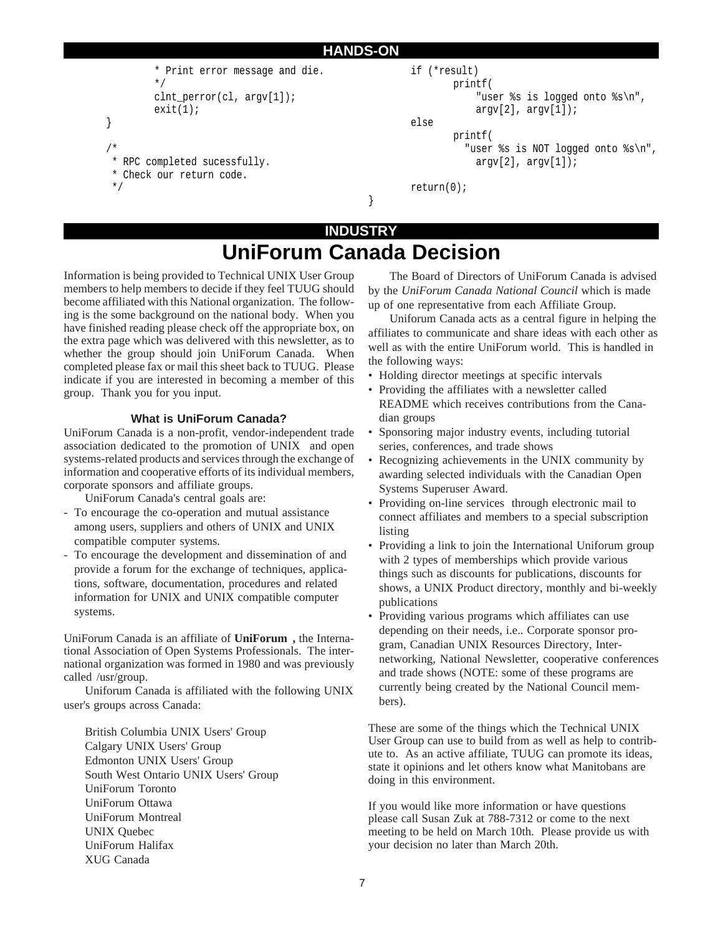```
HANDS-ON
         * Print error message and die.
         */
         clnt_perror(cl, argv[1]);
        exit(1);}
/*
 * RPC completed sucessfully.
 * Check our return code.
 */
                                                        if (*result)
                                                                printf(
                                                                    "user %s is logged onto %s\n",
                                                                    argv[2], argv[1]);else
                                                                printf(
                                                                  "user %s is NOT logged onto %s\n",
                                                                    argv[2], argv[1]);return(0);
                                                }
```
### **UniForum Canada Decision INDUSTRY**

Information is being provided to Technical UNIX User Group members to help members to decide if they feel TUUG should become affiliated with this National organization. The following is the some background on the national body. When you have finished reading please check off the appropriate box, on the extra page which was delivered with this newsletter, as to whether the group should join UniForum Canada. When completed please fax or mail this sheet back to TUUG. Please indicate if you are interested in becoming a member of this group. Thank you for you input.

#### **What is UniForum Canada?**

UniForum Canada is a non-profit, vendor-independent trade association dedicated to the promotion of  $UNIX<sup>®</sup>$  and open systems-related products and services through the exchange of information and cooperative efforts of its individual members, corporate sponsors and affiliate groups.

UniForum Canada's central goals are:

- To encourage the co-operation and mutual assistance among users, suppliers and others of UNIX and UNIX compatible computer systems.
- To encourage the development and dissemination of and provide a forum for the exchange of techniques, applications, software, documentation, procedures and related information for UNIX and UNIX compatible computer systems.

UniForum Canada is an affiliate of **UniForum,** the International Association of Open Systems Professionals. The international organization was formed in 1980 and was previously called /usr/group.

Uniforum Canada is affiliated with the following UNIX user's groups across Canada:

British Columbia UNIX Users' Group Calgary UNIX Users' Group Edmonton UNIX Users' Group South West Ontario UNIX Users' Group UniForum Toronto UniForum Ottawa UniForum Montreal UNIX Quebec UniForum Halifax XUG Canada

The Board of Directors of UniForum Canada is advised by the *UniForum Canada National Council* which is made up of one representative from each Affiliate Group.

Uniforum Canada acts as a central figure in helping the affiliates to communicate and share ideas with each other as well as with the entire UniForum world. This is handled in the following ways:

- Holding director meetings at specific intervals
- Providing the affiliates with a newsletter called README which receives contributions from the Canadian groups
- Sponsoring major industry events, including tutorial series, conferences, and trade shows
- Recognizing achievements in the UNIX community by awarding selected individuals with the Canadian Open Systems Superuser Award.
- Providing on-line services through electronic mail to connect affiliates and members to a special subscription listing
- Providing a link to join the International Uniforum group with 2 types of memberships which provide various things such as discounts for publications, discounts for shows, a UNIX Product directory, monthly and bi-weekly publications
- Providing various programs which affiliates can use depending on their needs, i.e.. Corporate sponsor program, Canadian UNIX Resources Directory, Internetworking, National Newsletter, cooperative conferences and trade shows (NOTE: some of these programs are currently being created by the National Council members).

These are some of the things which the Technical UNIX User Group can use to build from as well as help to contribute to. As an active affiliate, TUUG can promote its ideas, state it opinions and let others know what Manitobans are doing in this environment.

If you would like more information or have questions please call Susan Zuk at 788-7312 or come to the next meeting to be held on March 10th. Please provide us with your decision no later than March 20th.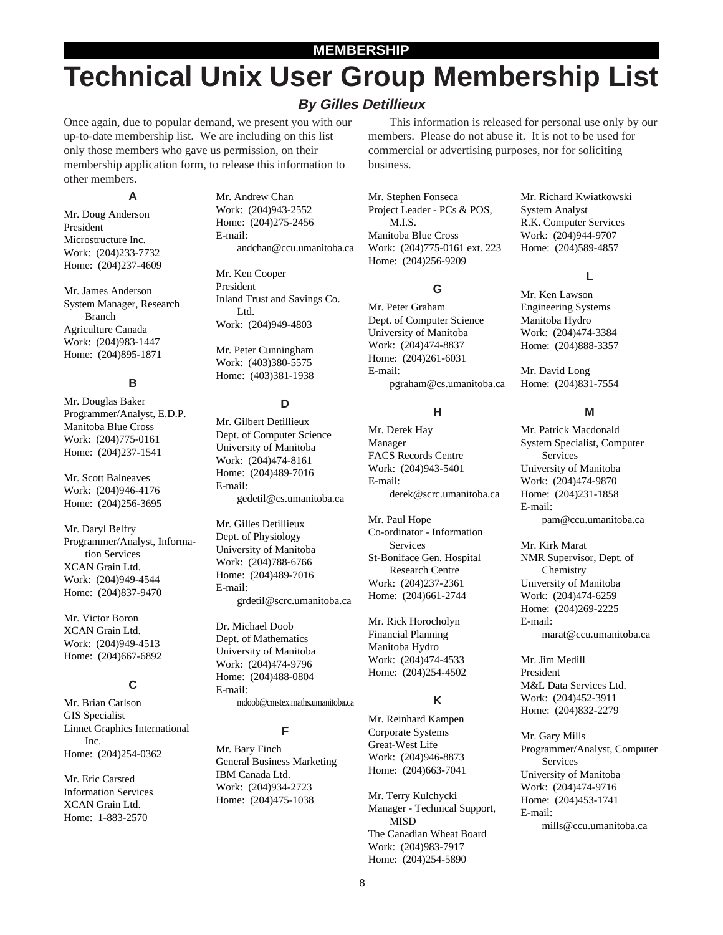#### **MEMBERSHIP**

# **Technical Unix User Group Membership List**

#### **By Gilles Detillieux**

Once again, due to popular demand, we present you with our up-to-date membership list. We are including on this list only those members who gave us permission, on their membership application form, to release this information to other members.

#### **A**

Mr. Doug Anderson President Microstructure Inc. Work: (204)233-7732 Home: (204)237-4609

Mr. James Anderson System Manager, Research Branch Agriculture Canada Work: (204)983-1447 Home: (204)895-1871

#### **B**

Mr. Douglas Baker Programmer/Analyst, E.D.P. Manitoba Blue Cross Work: (204)775-0161 Home: (204)237-1541

Mr. Scott Balneaves Work: (204)946-4176 Home: (204)256-3695

Mr. Daryl Belfry Programmer/Analyst, Information Services XCAN Grain Ltd. Work: (204)949-4544 Home: (204)837-9470

Mr. Victor Boron XCAN Grain Ltd. Work: (204)949-4513 Home: (204)667-6892

#### **C**

Mr. Brian Carlson GIS Specialist Linnet Graphics International Inc. Home: (204)254-0362

Mr. Eric Carsted Information Services XCAN Grain Ltd. Home: 1-883-2570

Mr. Andrew Chan Work: (204)943-2552 Home: (204)275-2456 E-mail: andchan@ccu.umanitoba.ca

Mr. Ken Cooper President Inland Trust and Savings Co. Ltd. Work: (204)949-4803

Mr. Peter Cunningham Work: (403)380-5575 Home: (403)381-1938

#### **D**

Mr. Gilbert Detillieux Dept. of Computer Science University of Manitoba Work: (204)474-8161 Home: (204)489-7016 E-mail: gedetil@cs.umanitoba.ca

Mr. Gilles Detillieux Dept. of Physiology University of Manitoba Work: (204)788-6766 Home: (204)489-7016 E-mail: grdetil@scrc.umanitoba.ca

Dr. Michael Doob Dept. of Mathematics University of Manitoba Work: (204)474-9796 Home: (204)488-0804 E-mail: mdoob@cmstex.maths.umanitoba.ca

#### **F**

Mr. Bary Finch General Business Marketing IBM Canada Ltd. Work: (204)934-2723 Home: (204)475-1038

This information is released for personal use only by our members. Please do not abuse it. It is not to be used for commercial or advertising purposes, nor for soliciting business.

Mr. Stephen Fonseca Project Leader - PCs & POS, M.I.S. Manitoba Blue Cross Work: (204)775-0161 ext. 223 Home: (204)256-9209

#### **G**

Mr. Peter Graham Dept. of Computer Science University of Manitoba Work: (204)474-8837 Home: (204)261-6031 E-mail: pgraham@cs.umanitoba.ca

#### **H**

Mr. Derek Hay Manager FACS Records Centre Work: (204)943-5401 E-mail: derek@scrc.umanitoba.ca

Mr. Paul Hope Co-ordinator - Information Services St-Boniface Gen. Hospital Research Centre Work: (204)237-2361 Home: (204)661-2744

Mr. Rick Horocholyn Financial Planning Manitoba Hydro Work: (204)474-4533 Home: (204)254-4502

#### **K**

Mr. Reinhard Kampen Corporate Systems Great-West Life Work: (204)946-8873 Home: (204)663-7041

Mr. Terry Kulchycki Manager - Technical Support, MISD The Canadian Wheat Board Work: (204)983-7917 Home: (204)254-5890

Mr. Richard Kwiatkowski System Analyst R.K. Computer Services Work: (204)944-9707 Home: (204)589-4857

#### **L**

Mr. Ken Lawson Engineering Systems Manitoba Hydro Work: (204)474-3384 Home: (204)888-3357

Mr. David Long Home: (204)831-7554

#### **M**

Mr. Patrick Macdonald System Specialist, Computer Services University of Manitoba Work: (204)474-9870 Home: (204)231-1858 E-mail: pam@ccu.umanitoba.ca

Mr. Kirk Marat NMR Supervisor, Dept. of Chemistry University of Manitoba Work: (204)474-6259 Home: (204)269-2225 E-mail: marat@ccu.umanitoba.ca

Mr. Jim Medill President M&L Data Services Ltd. Work: (204)452-3911 Home: (204)832-2279

Mr. Gary Mills Programmer/Analyst, Computer Services University of Manitoba Work: (204)474-9716 Home: (204)453-1741 E-mail: mills@ccu.umanitoba.ca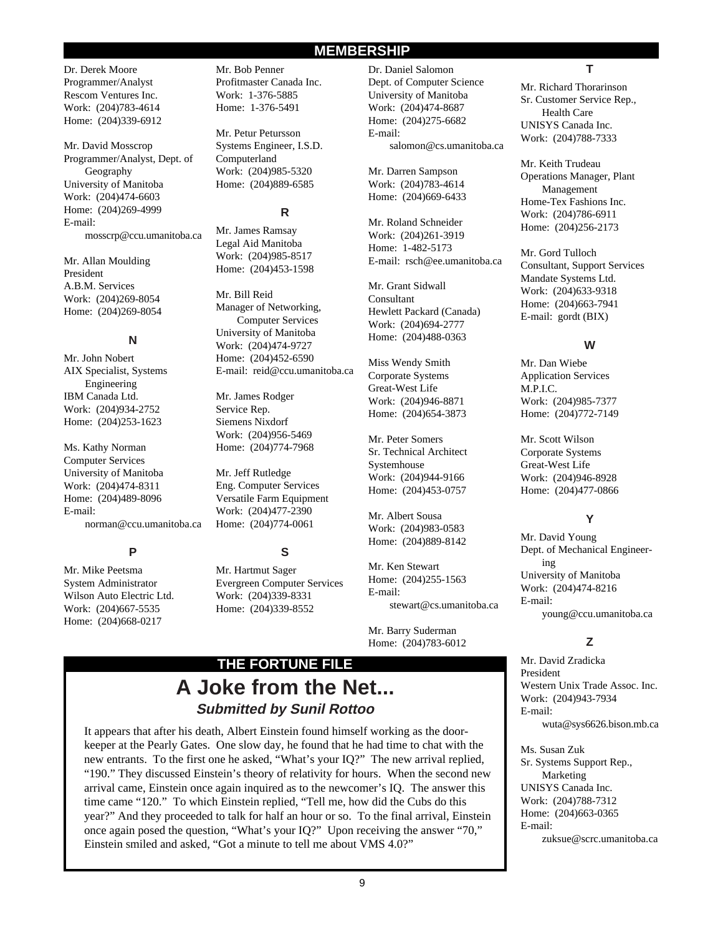#### **MEMBERSHIP**

Dr. Derek Moore Programmer/Analyst Rescom Ventures Inc. Work: (204)783-4614 Home: (204)339-6912

Mr. David Mosscrop Programmer/Analyst, Dept. of Geography University of Manitoba Work: (204)474-6603 Home: (204)269-4999 E-mail: mosscrp@ccu.umanitoba.ca

Mr. Allan Moulding President A.B.M. Services Work: (204)269-8054 Home: (204)269-8054

#### **N**

Mr. John Nobert AIX Specialist, Systems Engineering IBM Canada Ltd. Work: (204)934-2752 Home: (204)253-1623

Ms. Kathy Norman Computer Services University of Manitoba Work: (204)474-8311 Home: (204)489-8096 E-mail: norman@ccu.umanitoba.ca

#### **P**

Mr. Mike Peetsma System Administrator Wilson Auto Electric Ltd. Work: (204)667-5535 Home: (204)668-0217

Mr. Bob Penner Profitmaster Canada Inc. Work: 1-376-5885 Home: 1-376-5491

Mr. Petur Petursson Systems Engineer, I.S.D. Computerland Work: (204)985-5320 Home: (204)889-6585

#### **R**

Mr. James Ramsay Legal Aid Manitoba Work: (204)985-8517 Home: (204)453-1598

Mr. Bill Reid Manager of Networking, Computer Services University of Manitoba Work: (204)474-9727 Home: (204)452-6590 E-mail: reid@ccu.umanitoba.ca

Mr. James Rodger Service Rep. Siemens Nixdorf Work: (204)956-5469 Home: (204)774-7968

Mr. Jeff Rutledge Eng. Computer Services Versatile Farm Equipment Work: (204)477-2390 Home: (204)774-0061

**S**

Mr. Hartmut Sager Evergreen Computer Services Work: (204)339-8331 Home: (204)339-8552

Dr. Daniel Salomon Dept. of Computer Science University of Manitoba Work: (204)474-8687 Home: (204)275-6682 E-mail: salomon@cs.umanitoba.ca

Mr. Darren Sampson Work: (204)783-4614 Home: (204)669-6433

Mr. Roland Schneider Work: (204)261-3919 Home: 1-482-5173 E-mail: rsch@ee.umanitoba.ca

Mr. Grant Sidwall Consultant Hewlett Packard (Canada) Work: (204)694-2777 Home: (204)488-0363

Miss Wendy Smith Corporate Systems Great-West Life Work: (204)946-8871 Home: (204)654-3873

Mr. Peter Somers Sr. Technical Architect Systemhouse Work: (204)944-9166 Home: (204)453-0757

Mr. Albert Sousa Work: (204)983-0583 Home: (204)889-8142

Mr. Ken Stewart Home: (204)255-1563 E-mail: stewart@cs.umanitoba.ca

Mr. Barry Suderman Home: (204)783-6012

### **A Joke from the Net... Submitted by Sunil Rottoo THE FORTUNE FILE**

It appears that after his death, Albert Einstein found himself working as the doorkeeper at the Pearly Gates. One slow day, he found that he had time to chat with the new entrants. To the first one he asked, "What's your IQ?" The new arrival replied, "190." They discussed Einstein's theory of relativity for hours. When the second new arrival came, Einstein once again inquired as to the newcomer's IQ. The answer this time came "120." To which Einstein replied, "Tell me, how did the Cubs do this year?" And they proceeded to talk for half an hour or so. To the final arrival, Einstein once again posed the question, "What's your IQ?" Upon receiving the answer "70," Einstein smiled and asked, "Got a minute to tell me about VMS 4.0?"

#### **T**

Mr. Richard Thorarinson Sr. Customer Service Rep., Health Care UNISYS Canada Inc. Work: (204)788-7333

Mr. Keith Trudeau Operations Manager, Plant Management Home-Tex Fashions Inc. Work: (204)786-6911 Home: (204)256-2173

Mr. Gord Tulloch Consultant, Support Services Mandate Systems Ltd. Work: (204)633-9318 Home: (204)663-7941 E-mail: gordt (BIX)

#### **W**

Mr. Dan Wiebe Application Services M.P.I.C. Work: (204)985-7377 Home: (204)772-7149

Mr. Scott Wilson Corporate Systems Great-West Life Work: (204)946-8928 Home: (204)477-0866

#### **Y**

Mr. David Young Dept. of Mechanical Engineering University of Manitoba Work: (204)474-8216 E-mail: young@ccu.umanitoba.ca

#### **Z**

Mr. David Zradicka President Western Unix Trade Assoc. Inc. Work: (204)943-7934 E-mail: wuta@sys6626.bison.mb.ca

Ms. Susan Zuk Sr. Systems Support Rep., Marketing UNISYS Canada Inc. Work: (204)788-7312 Home: (204)663-0365 E-mail: zuksue@scrc.umanitoba.ca